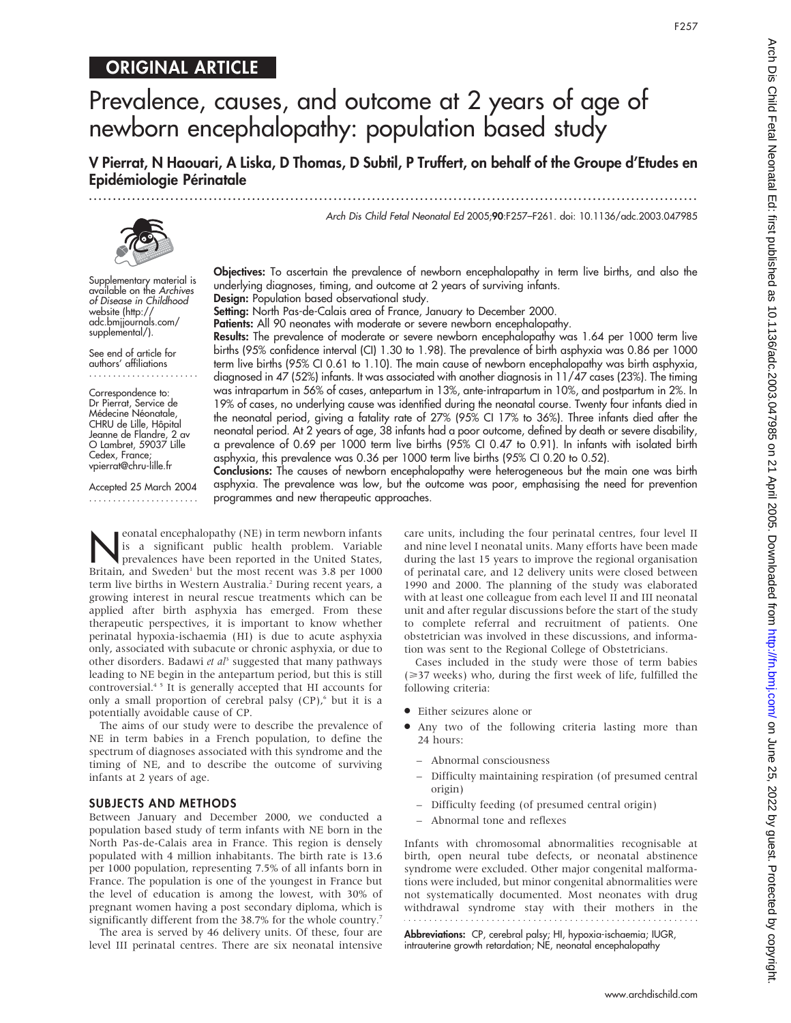# ORIGINAL ARTICLE

# Prevalence, causes, and outcome at 2 years of age of newborn encephalopathy: population based study

V Pierrat, N Haouari, A Liska, D Thomas, D Subtil, P Truffert, on behalf of the Groupe d'Etudes en Epidémiologie Périnatale

...............................................................................................................................

Arch Dis Child Fetal Neonatal Ed 2005;90:F257–F261. doi: 10.1136/adc.2003.047985



Supplementary material is available on the Archives of Disease in Childhood website (http:// adc.bmjjournals.com/ supplemental/).

See end of article for authors' affiliations .......................

Correspondence to: Dr Pierrat, Service de Médecine Néonatale, CHRU de Lille, Ḥôpital Jeanne de Flandre, 2 av O Lambret, 59037 Lille Cedex, France; vpierrat@chru-lille.fr

Accepted 25 March 2004 .......................

Objectives: To ascertain the prevalence of newborn encephalopathy in term live births, and also the underlying diagnoses, timing, and outcome at 2 years of surviving infants.

Design: Population based observational study.

Setting: North Pas-de-Calais area of France, January to December 2000.

Patients: All 90 neonates with moderate or severe newborn encephalopathy.

Results: The prevalence of moderate or severe newborn encephalopathy was 1.64 per 1000 term live births (95% confidence interval (CI) 1.30 to 1.98). The prevalence of birth asphyxia was 0.86 per 1000 term live births (95% CI 0.61 to 1.10). The main cause of newborn encephalopathy was birth asphyxia, diagnosed in 47 (52%) infants. It was associated with another diagnosis in 11/47 cases (23%). The timing was intrapartum in 56% of cases, antepartum in 13%, ante-intrapartum in 10%, and postpartum in 2%. In 19% of cases, no underlying cause was identified during the neonatal course. Twenty four infants died in the neonatal period, giving a fatality rate of 27% (95% CI 17% to 36%). Three infants died after the neonatal period. At 2 years of age, 38 infants had a poor outcome, defined by death or severe disability, a prevalence of 0.69 per 1000 term live births (95% CI 0.47 to 0.91). In infants with isolated birth asphyxia, this prevalence was 0.36 per 1000 term live births (95% CI 0.20 to 0.52).

Conclusions: The causes of newborn encephalopathy were heterogeneous but the main one was birth asphyxia. The prevalence was low, but the outcome was poor, emphasising the need for prevention programmes and new therapeutic approaches.

Separatal encephalopathy (NE) in term newborn infants<br>is a significant public health problem. Variable<br>prevalences have been reported in the United States,<br>Pritain and Sweden' but the most recent was 3.8 per 1000 is a significant public health problem. Variable prevalences have been reported in the United States, Britain, and Sweden<sup>1</sup> but the most recent was 3.8 per 1000 term live births in Western Australia.<sup>2</sup> During recent years, a growing interest in neural rescue treatments which can be applied after birth asphyxia has emerged. From these therapeutic perspectives, it is important to know whether perinatal hypoxia-ischaemia (HI) is due to acute asphyxia only, associated with subacute or chronic asphyxia, or due to other disorders. Badawi et  $a<sup>p</sup>$  suggested that many pathways leading to NE begin in the antepartum period, but this is still controversial.4 5 It is generally accepted that HI accounts for only a small proportion of cerebral palsy  $(CP)$ , but it is a potentially avoidable cause of CP.

The aims of our study were to describe the prevalence of NE in term babies in a French population, to define the spectrum of diagnoses associated with this syndrome and the timing of NE, and to describe the outcome of surviving infants at 2 years of age.

# SUBJECTS AND METHODS

Between January and December 2000, we conducted a population based study of term infants with NE born in the North Pas-de-Calais area in France. This region is densely populated with 4 million inhabitants. The birth rate is 13.6 per 1000 population, representing 7.5% of all infants born in France. The population is one of the youngest in France but the level of education is among the lowest, with 30% of pregnant women having a post secondary diploma, which is significantly different from the 38.7% for the whole country.<sup>7</sup>

The area is served by 46 delivery units. Of these, four are level III perinatal centres. There are six neonatal intensive care units, including the four perinatal centres, four level II and nine level I neonatal units. Many efforts have been made during the last 15 years to improve the regional organisation of perinatal care, and 12 delivery units were closed between 1990 and 2000. The planning of the study was elaborated with at least one colleague from each level II and III neonatal unit and after regular discussions before the start of the study to complete referral and recruitment of patients. One obstetrician was involved in these discussions, and information was sent to the Regional College of Obstetricians.

Cases included in the study were those of term babies (≥37 weeks) who, during the first week of life, fulfilled the following criteria:

- Either seizures alone or
- Any two of the following criteria lasting more than 24 hours:
	- Abnormal consciousness
	- Difficulty maintaining respiration (of presumed central origin)
	- Difficulty feeding (of presumed central origin)
	- Abnormal tone and reflexes

Infants with chromosomal abnormalities recognisable at birth, open neural tube defects, or neonatal abstinence syndrome were excluded. Other major congenital malformations were included, but minor congenital abnormalities were not systematically documented. Most neonates with drug withdrawal syndrome stay with their mothers in the

Abbreviations: CP, cerebral palsy; HI, hypoxia-ischaemia; IUGR, intrauterine growth retardation; NE, neonatal encephalopathy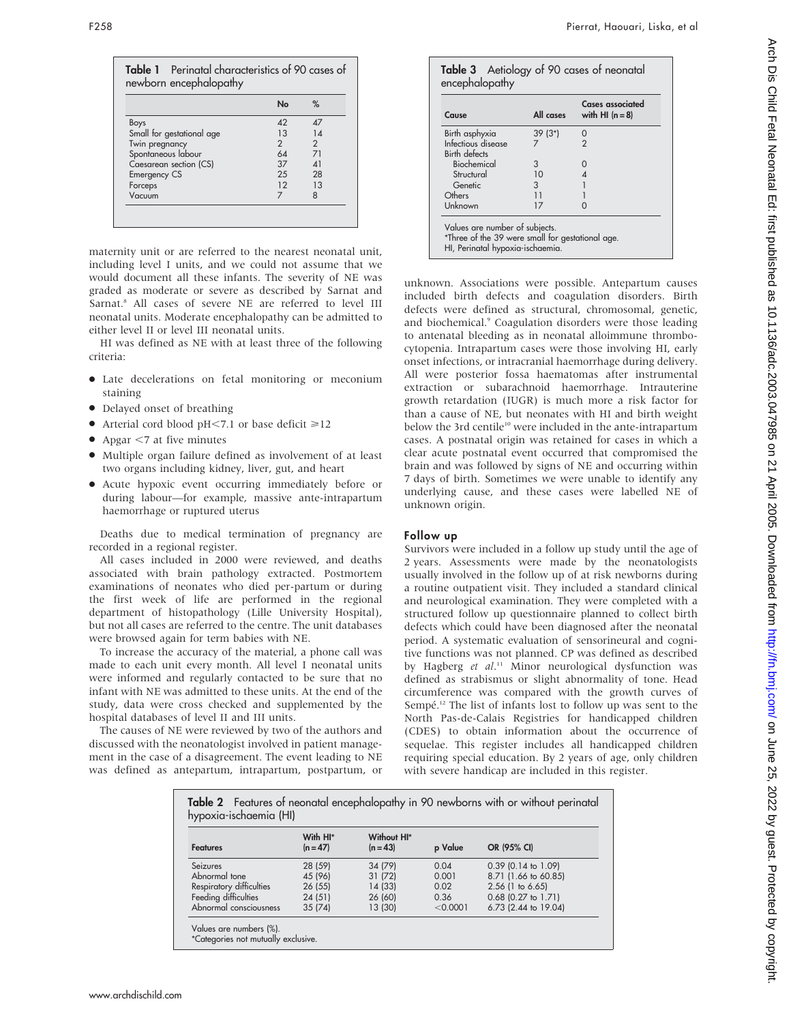|                           | <b>No</b>     | $\%$          |
|---------------------------|---------------|---------------|
| Boys                      | 42            | $\Delta$ 7    |
| Small for gestational age | 1.3           | 14            |
| Twin pregnancy            | $\mathcal{P}$ | $\mathcal{P}$ |
| Spontaneous labour        | 64            | 71            |
| Caesarean section (CS)    | 37            | $\Delta$      |
| <b>Emergency CS</b>       | 25            | 28            |
| Forceps                   | 12            | 1.3           |
| Vacuum                    | 7             | 8             |

maternity unit or are referred to the nearest neonatal unit, including level I units, and we could not assume that we would document all these infants. The severity of NE was graded as moderate or severe as described by Sarnat and Sarnat.<sup>8</sup> All cases of severe NE are referred to level III neonatal units. Moderate encephalopathy can be admitted to either level II or level III neonatal units.

HI was defined as NE with at least three of the following criteria:

- $\bullet$  Late decelerations on fetal monitoring or meconium staining
- Delayed onset of breathing
- Arterial cord blood pH<7.1 or base deficit  $\ge$ 12
- Apgar  $\leq$  7 at five minutes
- Multiple organ failure defined as involvement of at least two organs including kidney, liver, gut, and heart
- N Acute hypoxic event occurring immediately before or during labour—for example, massive ante-intrapartum haemorrhage or ruptured uterus

Deaths due to medical termination of pregnancy are recorded in a regional register.

All cases included in 2000 were reviewed, and deaths associated with brain pathology extracted. Postmortem examinations of neonates who died per-partum or during the first week of life are performed in the regional department of histopathology (Lille University Hospital), but not all cases are referred to the centre. The unit databases were browsed again for term babies with NE.

To increase the accuracy of the material, a phone call was made to each unit every month. All level I neonatal units were informed and regularly contacted to be sure that no infant with NE was admitted to these units. At the end of the study, data were cross checked and supplemented by the hospital databases of level II and III units.

The causes of NE were reviewed by two of the authors and discussed with the neonatologist involved in patient management in the case of a disagreement. The event leading to NE was defined as antepartum, intrapartum, postpartum, or

| Cause                | All cases | Cases associated<br>with HI $(n=8)$ |
|----------------------|-----------|-------------------------------------|
| Birth asphyxia       | $39(3*)$  |                                     |
| Infectious disease   |           |                                     |
| <b>Birth defects</b> |           |                                     |
| Biochemical          | 3         |                                     |
| Structural           | 10        |                                     |
| Genetic              | 3         |                                     |
| Others               |           |                                     |
| Unknown              | 17        |                                     |

unknown. Associations were possible. Antepartum causes included birth defects and coagulation disorders. Birth defects were defined as structural, chromosomal, genetic, and biochemical.<sup>9</sup> Coagulation disorders were those leading to antenatal bleeding as in neonatal alloimmune thrombocytopenia. Intrapartum cases were those involving HI, early onset infections, or intracranial haemorrhage during delivery. All were posterior fossa haematomas after instrumental extraction or subarachnoid haemorrhage. Intrauterine growth retardation (IUGR) is much more a risk factor for than a cause of NE, but neonates with HI and birth weight below the 3rd centile<sup>10</sup> were included in the ante-intrapartum cases. A postnatal origin was retained for cases in which a clear acute postnatal event occurred that compromised the brain and was followed by signs of NE and occurring within 7 days of birth. Sometimes we were unable to identify any underlying cause, and these cases were labelled NE of unknown origin.

# Follow up

Survivors were included in a follow up study until the age of 2 years. Assessments were made by the neonatologists usually involved in the follow up of at risk newborns during a routine outpatient visit. They included a standard clinical and neurological examination. They were completed with a structured follow up questionnaire planned to collect birth defects which could have been diagnosed after the neonatal period. A systematic evaluation of sensorineural and cognitive functions was not planned. CP was defined as described by Hagberg et al.<sup>11</sup> Minor neurological dysfunction was defined as strabismus or slight abnormality of tone. Head circumference was compared with the growth curves of Sempé.<sup>12</sup> The list of infants lost to follow up was sent to the North Pas-de-Calais Registries for handicapped children (CDES) to obtain information about the occurrence of sequelae. This register includes all handicapped children requiring special education. By 2 years of age, only children with severe handicap are included in this register.

|                          | With HI*   | Without HI* |          |                       |
|--------------------------|------------|-------------|----------|-----------------------|
| <b>Features</b>          | $(n = 47)$ | $(n = 43)$  | p Value  | OR (95% CI)           |
| Seizures                 | 28 (59)    | 34 (79)     | 0.04     | $0.39$ (0.14 to 1.09) |
| Abnormal tone            | 45 (96)    | 31(72)      | 0.001    | 8.71 (1.66 to 60.85)  |
| Respiratory difficulties | 26(55)     | 14(33)      | 0.02     | $2.56$ (1 to 6.65)    |
| Feeding difficulties     | 24(51)     | 26 (60)     | 0.36     | $0.68$ (0.27 to 1.71) |
| Abnormal consciousness   | 35(74)     | 13 (30)     | < 0.0001 | 6.73 (2.44 to 19.04)  |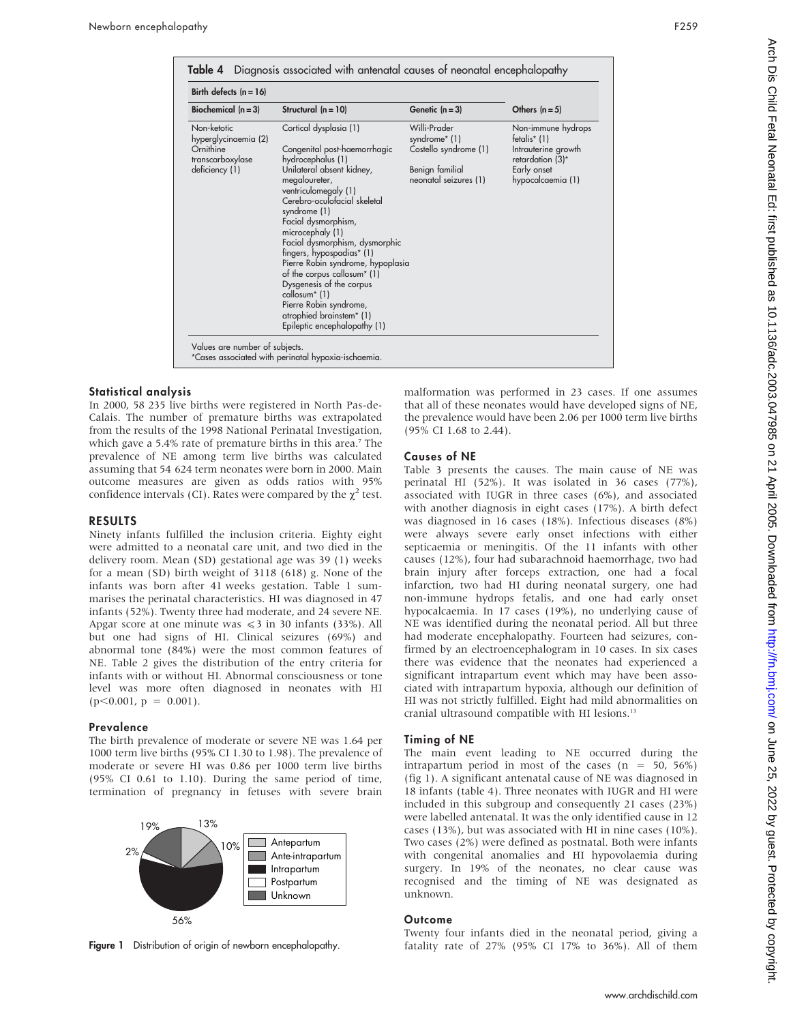| Birth defects $(n = 16)$                                                               |                                                                                                                                                                                                                                                                                                                                                                                                                                                                                                                                            |                                                                                                    |                                                                                                                                 |
|----------------------------------------------------------------------------------------|--------------------------------------------------------------------------------------------------------------------------------------------------------------------------------------------------------------------------------------------------------------------------------------------------------------------------------------------------------------------------------------------------------------------------------------------------------------------------------------------------------------------------------------------|----------------------------------------------------------------------------------------------------|---------------------------------------------------------------------------------------------------------------------------------|
| Biochemical $(n=3)$                                                                    | Structural $(n = 10)$                                                                                                                                                                                                                                                                                                                                                                                                                                                                                                                      | Genetic $(n = 3)$                                                                                  | Others $(n=5)$                                                                                                                  |
| Non-ketotic<br>hyperglycinaemia (2)<br>Ornithine<br>transcarboxylase<br>deficiency (1) | Cortical dysplasia (1)<br>Congenital post-haemorrhagic<br>hydrocephalus (1)<br>Unilateral absent kidney,<br>megaloureter,<br>ventriculomegaly (1)<br>Cerebro-oculofacial skeletal<br>syndrome (1)<br>Facial dysmorphism,<br>microcephaly (1)<br>Facial dysmorphism, dysmorphic<br>fingers, hypospadias* (1)<br>Pierre Robin syndrome, hypoplasia<br>of the corpus callosum <sup>*</sup> (1)<br>Dysgenesis of the corpus<br>callosum <sup>*</sup> (1)<br>Pierre Robin syndrome,<br>atrophied brainstem* (1)<br>Epileptic encephalopathy (1) | Willi-Prader<br>syndrome* (1)<br>Costello syndrome (1)<br>Benign familial<br>neonatal seizures (1) | Non-immune hydrops<br>fetalis <sup>*</sup> $(1)$<br>Intrauterine growth<br>retardation (3)*<br>Early onset<br>hypocalcaemia (1) |

# Statistical analysis

In 2000, 58 235 live births were registered in North Pas-de-Calais. The number of premature births was extrapolated from the results of the 1998 National Perinatal Investigation, which gave a 5.4% rate of premature births in this area.<sup>7</sup> The prevalence of NE among term live births was calculated assuming that 54 624 term neonates were born in 2000. Main outcome measures are given as odds ratios with 95% confidence intervals (CI). Rates were compared by the  $\chi^2$  test.

#### RESULTS

Ninety infants fulfilled the inclusion criteria. Eighty eight were admitted to a neonatal care unit, and two died in the delivery room. Mean (SD) gestational age was 39 (1) weeks for a mean (SD) birth weight of 3118 (618) g. None of the infants was born after 41 weeks gestation. Table 1 summarises the perinatal characteristics. HI was diagnosed in 47 infants (52%). Twenty three had moderate, and 24 severe NE. Apgar score at one minute was  $\leq 3$  in 30 infants (33%). All but one had signs of HI. Clinical seizures (69%) and abnormal tone (84%) were the most common features of NE. Table 2 gives the distribution of the entry criteria for infants with or without HI. Abnormal consciousness or tone level was more often diagnosed in neonates with HI  $(p<0.001, p = 0.001).$ 

#### Prevalence

The birth prevalence of moderate or severe NE was 1.64 per 1000 term live births (95% CI 1.30 to 1.98). The prevalence of moderate or severe HI was 0.86 per 1000 term live births (95% CI 0.61 to 1.10). During the same period of time, termination of pregnancy in fetuses with severe brain



Figure 1 Distribution of origin of newborn encephalopathy.

malformation was performed in 23 cases. If one assumes that all of these neonates would have developed signs of NE, the prevalence would have been 2.06 per 1000 term live births (95% CI 1.68 to 2.44).

# Causes of NE

Table 3 presents the causes. The main cause of NE was perinatal HI (52%). It was isolated in 36 cases (77%), associated with IUGR in three cases (6%), and associated with another diagnosis in eight cases (17%). A birth defect was diagnosed in 16 cases (18%). Infectious diseases (8%) were always severe early onset infections with either septicaemia or meningitis. Of the 11 infants with other causes (12%), four had subarachnoid haemorrhage, two had brain injury after forceps extraction, one had a focal infarction, two had HI during neonatal surgery, one had non-immune hydrops fetalis, and one had early onset hypocalcaemia. In 17 cases (19%), no underlying cause of NE was identified during the neonatal period. All but three had moderate encephalopathy. Fourteen had seizures, confirmed by an electroencephalogram in 10 cases. In six cases there was evidence that the neonates had experienced a significant intrapartum event which may have been associated with intrapartum hypoxia, although our definition of HI was not strictly fulfilled. Eight had mild abnormalities on cranial ultrasound compatible with HI lesions.13

#### Timing of NE

The main event leading to NE occurred during the intrapartum period in most of the cases  $(n = 50, 56%)$ (fig 1). A significant antenatal cause of NE was diagnosed in 18 infants (table 4). Three neonates with IUGR and HI were included in this subgroup and consequently 21 cases (23%) were labelled antenatal. It was the only identified cause in 12 cases (13%), but was associated with HI in nine cases (10%). Two cases (2%) were defined as postnatal. Both were infants with congenital anomalies and HI hypovolaemia during surgery. In 19% of the neonates, no clear cause was recognised and the timing of NE was designated as unknown.

#### **Outcome**

Twenty four infants died in the neonatal period, giving a fatality rate of 27% (95% CI 17% to 36%). All of them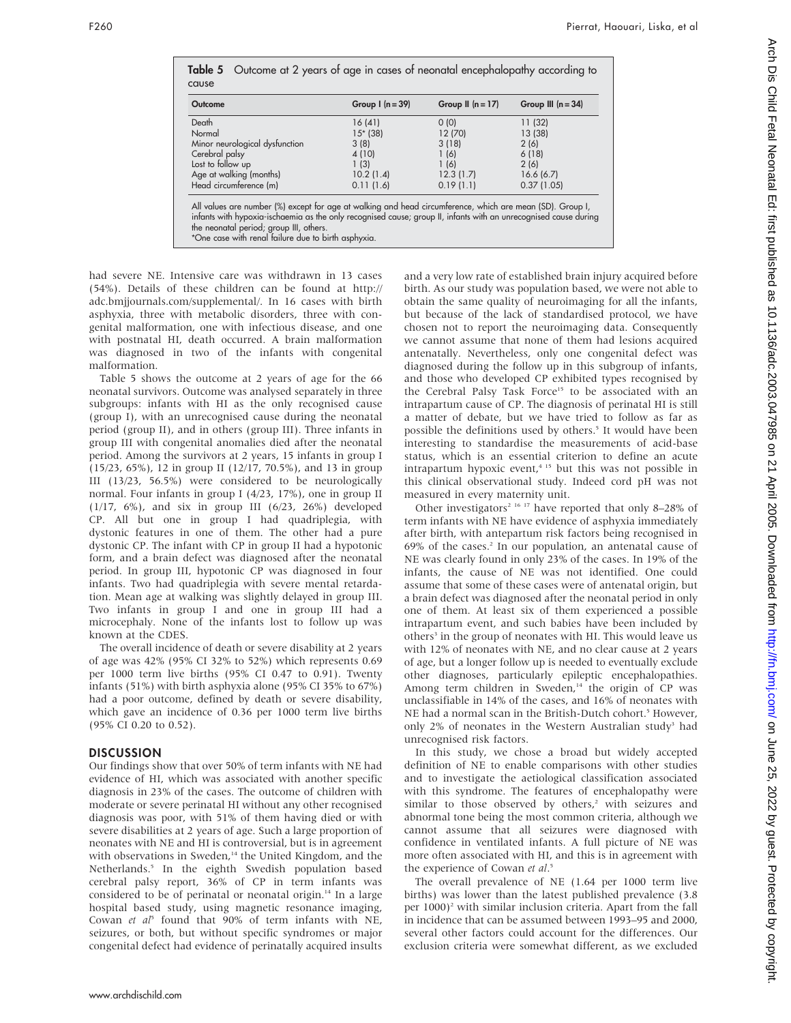| Outcome                        | Group $\lfloor (n = 39) \rfloor$ | Group II $(n = 17)$ | Group III $(n = 34)$ |
|--------------------------------|----------------------------------|---------------------|----------------------|
| Death                          | 16(41)                           | (010)               | 11(32)               |
| Normal                         | $15*$ (38)                       | 12 (70)             | 13(38)               |
| Minor neurological dysfunction | 3(8)                             | 3(18)               | 2(6)                 |
| Cerebral palsy                 | 4 (10)                           | 1 (6)               | 6(18)                |
| Lost to follow up              | 1(3)                             | 1(6)                | 2(6)                 |
| Age at walking (months)        | 10.2(1.4)                        | 12.3(1.7)           | 16.6(6.7)            |
| Head circumference (m)         | 0.11(1.6)                        | 0.19(1.1)           | 0.37(1.05)           |

**Table 5** Outcome at 2 years of age in cases of neonatal encephalopathy according to

the neonatal period; group III, others. \*One case with renal failure due to birth asphyxia.

had severe NE. Intensive care was withdrawn in 13 cases (54%). Details of these children can be found at http:// adc.bmjjournals.com/supplemental/. In 16 cases with birth asphyxia, three with metabolic disorders, three with congenital malformation, one with infectious disease, and one with postnatal HI, death occurred. A brain malformation was diagnosed in two of the infants with congenital malformation.

Table 5 shows the outcome at 2 years of age for the 66 neonatal survivors. Outcome was analysed separately in three subgroups: infants with HI as the only recognised cause (group I), with an unrecognised cause during the neonatal period (group II), and in others (group III). Three infants in group III with congenital anomalies died after the neonatal period. Among the survivors at 2 years, 15 infants in group I (15/23, 65%), 12 in group II (12/17, 70.5%), and 13 in group III (13/23, 56.5%) were considered to be neurologically normal. Four infants in group I (4/23, 17%), one in group II (1/17, 6%), and six in group III (6/23, 26%) developed CP. All but one in group I had quadriplegia, with dystonic features in one of them. The other had a pure dystonic CP. The infant with CP in group II had a hypotonic form, and a brain defect was diagnosed after the neonatal period. In group III, hypotonic CP was diagnosed in four infants. Two had quadriplegia with severe mental retardation. Mean age at walking was slightly delayed in group III. Two infants in group I and one in group III had a microcephaly. None of the infants lost to follow up was known at the CDES.

The overall incidence of death or severe disability at 2 years of age was 42% (95% CI 32% to 52%) which represents 0.69 per 1000 term live births (95% CI 0.47 to 0.91). Twenty infants (51%) with birth asphyxia alone (95% CI 35% to 67%) had a poor outcome, defined by death or severe disability, which gave an incidence of 0.36 per 1000 term live births (95% CI 0.20 to 0.52).

# DISCUSSION

Our findings show that over 50% of term infants with NE had evidence of HI, which was associated with another specific diagnosis in 23% of the cases. The outcome of children with moderate or severe perinatal HI without any other recognised diagnosis was poor, with 51% of them having died or with severe disabilities at 2 years of age. Such a large proportion of neonates with NE and HI is controversial, but is in agreement with observations in Sweden, $14$  the United Kingdom, and the Netherlands.<sup>5</sup> In the eighth Swedish population based cerebral palsy report, 36% of CP in term infants was considered to be of perinatal or neonatal origin.<sup>14</sup> In a large hospital based study, using magnetic resonance imaging, Cowan et  $al^5$  found that 90% of term infants with NE, seizures, or both, but without specific syndromes or major congenital defect had evidence of perinatally acquired insults

and a very low rate of established brain injury acquired before birth. As our study was population based, we were not able to obtain the same quality of neuroimaging for all the infants, but because of the lack of standardised protocol, we have chosen not to report the neuroimaging data. Consequently we cannot assume that none of them had lesions acquired antenatally. Nevertheless, only one congenital defect was diagnosed during the follow up in this subgroup of infants, and those who developed CP exhibited types recognised by the Cerebral Palsy Task Force<sup>15</sup> to be associated with an intrapartum cause of CP. The diagnosis of perinatal HI is still a matter of debate, but we have tried to follow as far as possible the definitions used by others.<sup>5</sup> It would have been interesting to standardise the measurements of acid-base status, which is an essential criterion to define an acute intrapartum hypoxic event,<sup>4 15</sup> but this was not possible in this clinical observational study. Indeed cord pH was not measured in every maternity unit.

Other investigators<sup>2 16 17</sup> have reported that only 8–28% of term infants with NE have evidence of asphyxia immediately after birth, with antepartum risk factors being recognised in 69% of the cases.<sup>2</sup> In our population, an antenatal cause of NE was clearly found in only 23% of the cases. In 19% of the infants, the cause of NE was not identified. One could assume that some of these cases were of antenatal origin, but a brain defect was diagnosed after the neonatal period in only one of them. At least six of them experienced a possible intrapartum event, and such babies have been included by others<sup>3</sup> in the group of neonates with HI. This would leave us with 12% of neonates with NE, and no clear cause at 2 years of age, but a longer follow up is needed to eventually exclude other diagnoses, particularly epileptic encephalopathies. Among term children in Sweden,<sup>14</sup> the origin of CP was unclassifiable in 14% of the cases, and 16% of neonates with NE had a normal scan in the British-Dutch cohort.<sup>5</sup> However, only 2% of neonates in the Western Australian study<sup>3</sup> had unrecognised risk factors.

In this study, we chose a broad but widely accepted definition of NE to enable comparisons with other studies and to investigate the aetiological classification associated with this syndrome. The features of encephalopathy were similar to those observed by others,<sup>2</sup> with seizures and abnormal tone being the most common criteria, although we cannot assume that all seizures were diagnosed with confidence in ventilated infants. A full picture of NE was more often associated with HI, and this is in agreement with the experience of Cowan et al.<sup>5</sup>

The overall prevalence of NE (1.64 per 1000 term live births) was lower than the latest published prevalence (3.8 per 1000)<sup>2</sup> with similar inclusion criteria. Apart from the fall in incidence that can be assumed between 1993–95 and 2000, several other factors could account for the differences. Our exclusion criteria were somewhat different, as we excluded